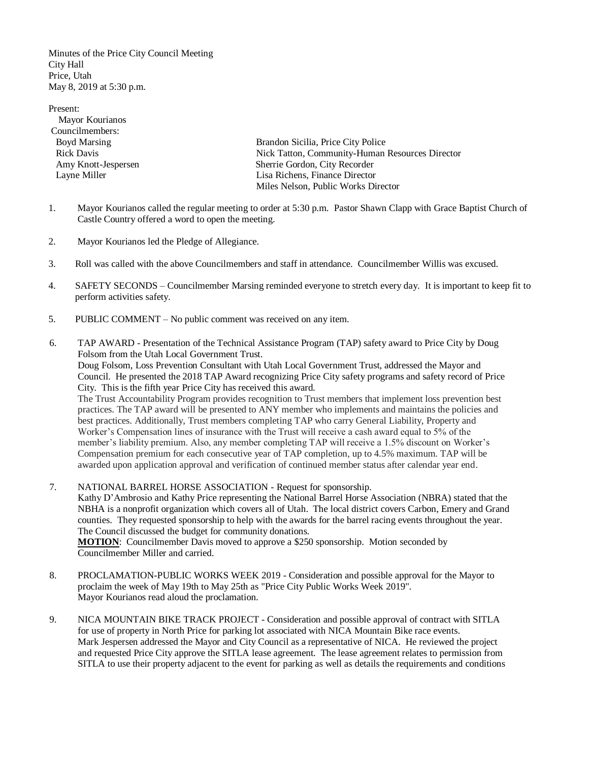Minutes of the Price City Council Meeting City Hall Price, Utah May 8, 2019 at 5:30 p.m.

Present: Mayor Kourianos Councilmembers:

Boyd Marsing Brandon Sicilia, Price City Police Rick Davis Nick Tatton, Community-Human Resources Director Amy Knott-Jespersen Sherrie Gordon, City Recorder Layne Miller Lisa Richens, Finance Director Miles Nelson, Public Works Director

- 1. Mayor Kourianos called the regular meeting to order at 5:30 p.m. Pastor Shawn Clapp with Grace Baptist Church of Castle Country offered a word to open the meeting.
- 2. Mayor Kourianos led the Pledge of Allegiance.
- 3. Roll was called with the above Councilmembers and staff in attendance. Councilmember Willis was excused.
- 4. SAFETY SECONDS Councilmember Marsing reminded everyone to stretch every day. It is important to keep fit to perform activities safety.
- 5. PUBLIC COMMENT No public comment was received on any item.
- 6. TAP AWARD Presentation of the Technical Assistance Program (TAP) safety award to Price City by Doug Folsom from the Utah Local Government Trust.

Doug Folsom, Loss Prevention Consultant with Utah Local Government Trust, addressed the Mayor and Council. He presented the 2018 TAP Award recognizing Price City safety programs and safety record of Price City. This is the fifth year Price City has received this award.

The Trust Accountability Program provides recognition to Trust members that implement loss prevention best practices. The TAP award will be presented to ANY member who implements and maintains the policies and best practices. Additionally, Trust members completing TAP who carry General Liability, Property and Worker's Compensation lines of insurance with the Trust will receive a cash award equal to 5% of the member's liability premium. Also, any member completing TAP will receive a 1.5% discount on Worker's Compensation premium for each consecutive year of TAP completion, up to 4.5% maximum. TAP will be awarded upon application approval and verification of continued member status after calendar year end.

7. NATIONAL BARREL HORSE ASSOCIATION - Request for sponsorship.

Kathy D'Ambrosio and Kathy Price representing the National Barrel Horse Association (NBRA) stated that the NBHA is a nonprofit organization which covers all of Utah. The local district covers Carbon, Emery and Grand counties. They requested sponsorship to help with the awards for the barrel racing events throughout the year. The Council discussed the budget for community donations.

**MOTION**: Councilmember Davis moved to approve a \$250 sponsorship. Motion seconded by Councilmember Miller and carried.

- 8. PROCLAMATION-PUBLIC WORKS WEEK 2019 Consideration and possible approval for the Mayor to proclaim the week of May 19th to May 25th as "Price City Public Works Week 2019". Mayor Kourianos read aloud the proclamation.
- 9. NICA MOUNTAIN BIKE TRACK PROJECT Consideration and possible approval of contract with SITLA for use of property in North Price for parking lot associated with NICA Mountain Bike race events. Mark Jespersen addressed the Mayor and City Council as a representative of NICA. He reviewed the project and requested Price City approve the SITLA lease agreement. The lease agreement relates to permission from SITLA to use their property adjacent to the event for parking as well as details the requirements and conditions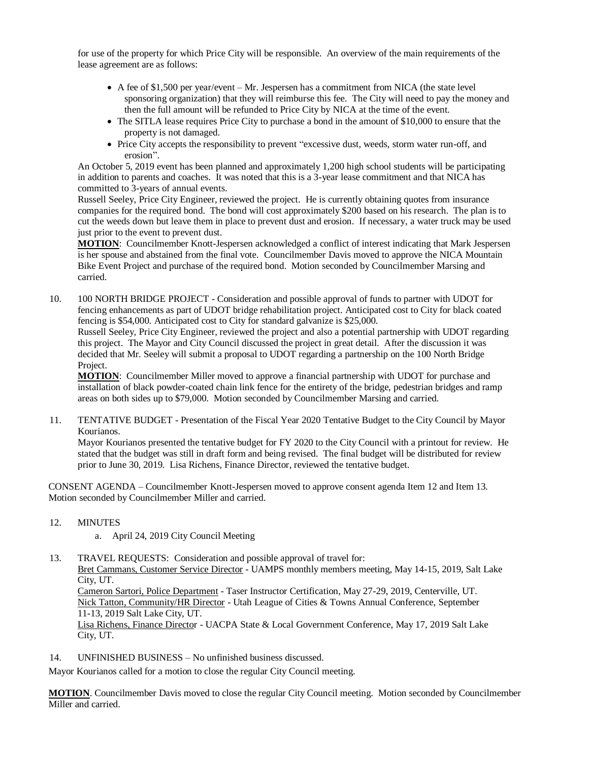for use of the property for which Price City will be responsible. An overview of the main requirements of the lease agreement are as follows:

- A fee of \$1,500 per year/event Mr. Jespersen has a commitment from NICA (the state level sponsoring organization) that they will reimburse this fee. The City will need to pay the money and then the full amount will be refunded to Price City by NICA at the time of the event.
- The SITLA lease requires Price City to purchase a bond in the amount of \$10,000 to ensure that the property is not damaged.
- Price City accepts the responsibility to prevent "excessive dust, weeds, storm water run-off, and erosion".

An October 5, 2019 event has been planned and approximately 1,200 high school students will be participating in addition to parents and coaches. It was noted that this is a 3-year lease commitment and that NICA has committed to 3-years of annual events.

Russell Seeley, Price City Engineer, reviewed the project. He is currently obtaining quotes from insurance companies for the required bond. The bond will cost approximately \$200 based on his research. The plan is to cut the weeds down but leave them in place to prevent dust and erosion. If necessary, a water truck may be used just prior to the event to prevent dust.

**MOTION**: Councilmember Knott-Jespersen acknowledged a conflict of interest indicating that Mark Jespersen is her spouse and abstained from the final vote. Councilmember Davis moved to approve the NICA Mountain Bike Event Project and purchase of the required bond. Motion seconded by Councilmember Marsing and carried.

10. 100 NORTH BRIDGE PROJECT - Consideration and possible approval of funds to partner with UDOT for fencing enhancements as part of UDOT bridge rehabilitation project. Anticipated cost to City for black coated fencing is \$54,000. Anticipated cost to City for standard galvanize is \$25,000.

Russell Seeley, Price City Engineer, reviewed the project and also a potential partnership with UDOT regarding this project. The Mayor and City Council discussed the project in great detail. After the discussion it was decided that Mr. Seeley will submit a proposal to UDOT regarding a partnership on the 100 North Bridge Project.

**MOTION**: Councilmember Miller moved to approve a financial partnership with UDOT for purchase and installation of black powder-coated chain link fence for the entirety of the bridge, pedestrian bridges and ramp areas on both sides up to \$79,000. Motion seconded by Councilmember Marsing and carried.

11. TENTATIVE BUDGET - Presentation of the Fiscal Year 2020 Tentative Budget to the City Council by Mayor Kourianos.

Mayor Kourianos presented the tentative budget for FY 2020 to the City Council with a printout for review. He stated that the budget was still in draft form and being revised. The final budget will be distributed for review prior to June 30, 2019. Lisa Richens, Finance Director, reviewed the tentative budget.

CONSENT AGENDA – Councilmember Knott-Jespersen moved to approve consent agenda Item 12 and Item 13. Motion seconded by Councilmember Miller and carried.

- 12. MINUTES
	- a. April 24, 2019 City Council Meeting
- 13. TRAVEL REQUESTS: Consideration and possible approval of travel for:

Bret Cammans, Customer Service Director - UAMPS monthly members meeting, May 14-15, 2019, Salt Lake City, UT.

Cameron Sartori, Police Department - Taser Instructor Certification, May 27-29, 2019, Centerville, UT. Nick Tatton, Community/HR Director - Utah League of Cities & Towns Annual Conference, September 11-13, 2019 Salt Lake City, UT.

Lisa Richens, Finance Director - UACPA State & Local Government Conference, May 17, 2019 Salt Lake City, UT.

14. UNFINISHED BUSINESS – No unfinished business discussed.

Mayor Kourianos called for a motion to close the regular City Council meeting.

**MOTION**. Councilmember Davis moved to close the regular City Council meeting. Motion seconded by Councilmember Miller and carried.